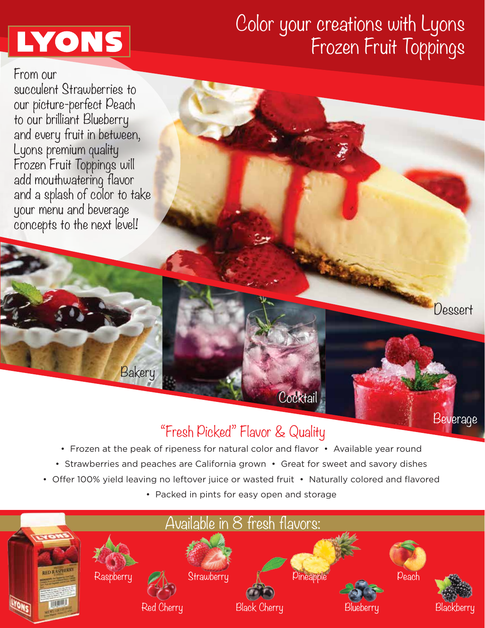# **LYONS**

## Color your creations with Lyons Frozen Fruit Toppings

**Dessert** 

Beverage

From our succulent Strawberries to our picture-perfect Peach to our brilliant Blueberry and every fruit in between, Lyons premium quality Frozen Fruit Toppings will add mouthwatering flavor and a splash of color to take your menu and beverage concepts to the next level!

Bakery

### "Fresh Picked" Flavor & Quality

Cocktail

- Frozen at the peak of ripeness for natural color and flavor Available year round
- Strawberries and peaches are California grown Great for sweet and savory dishes
- Offer 100% yield leaving no leftover juice or wasted fruit Naturally colored and flavored
	- Packed in pints for easy open and storage